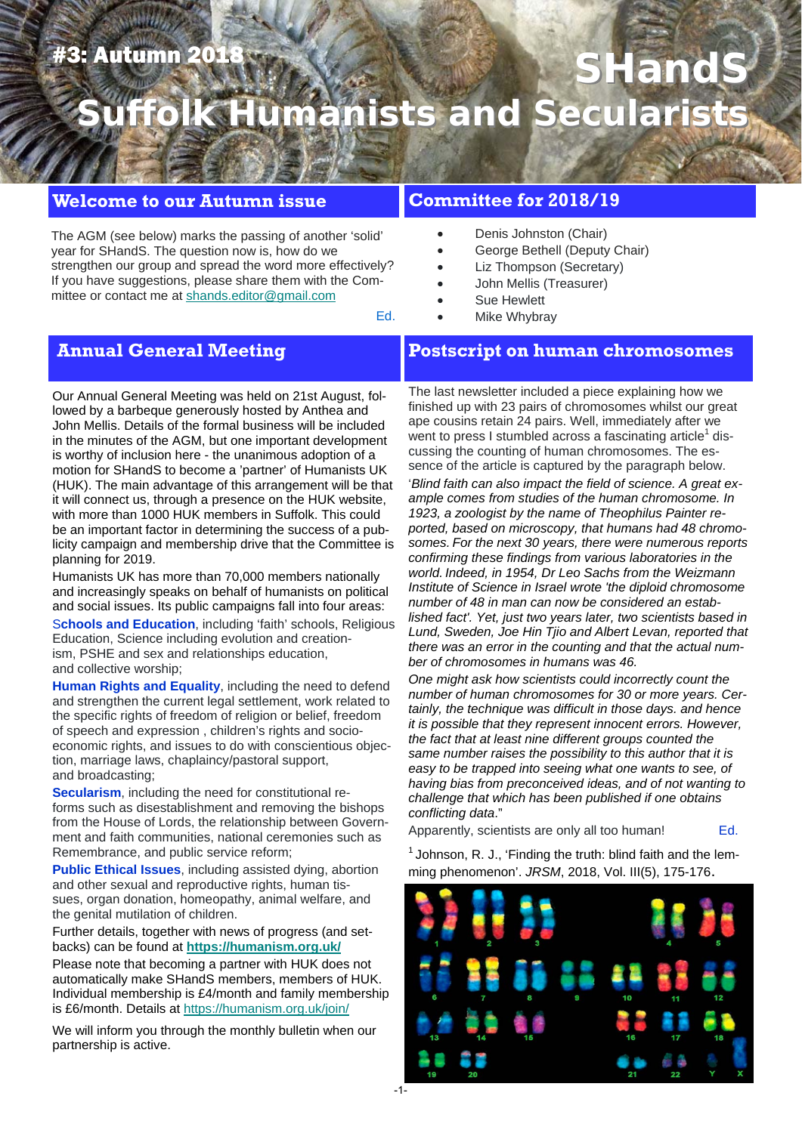## #3: Autumn 2018

# **SHand umanists and Secular**

#### **Welcome to our Autumn issue**

The AGM (see below) marks the passing of another 'solid' year for SHandS. The question now is, how do we strengthen our group and spread the word more effectively? If you have suggestions, please share them with the Committee or contact me at shands.editor@gmail.com

#### **Committee for 2018/19**

- Denis Johnston (Chair)
- George Bethell (Deputy Chair)
- Liz Thompson (Secretary)
- John Mellis (Treasurer)

Mike Whybray

Sue Hewlett

Ed.

### **Annual General Meeting**

Our Annual General Meeting was held on 21st August, followed by a barbeque generously hosted by Anthea and John Mellis. Details of the formal business will be included in the minutes of the AGM, but one important development is worthy of inclusion here - the unanimous adoption of a motion for SHandS to become a 'partner' of Humanists UK (HUK). The main advantage of this arrangement will be that it will connect us, through a presence on the HUK website, with more than 1000 HUK members in Suffolk. This could be an important factor in determining the success of a publicity campaign and membership drive that the Committee is planning for 2019.

Humanists UK has more than 70,000 members nationally and increasingly speaks on behalf of humanists on political and social issues. Its public campaigns fall into four areas:

S**chools and Education**, including 'faith' schools, Religious Education, Science including evolution and creationism, PSHE and sex and relationships education, and collective worship;

**Human Rights and Equality**, including the need to defend and strengthen the current legal settlement, work related to the specific rights of freedom of religion or belief, freedom of speech and expression , children's rights and socioeconomic rights, and issues to do with conscientious objection, marriage laws, chaplaincy/pastoral support, and broadcasting;

**Secularism**, including the need for constitutional reforms such as disestablishment and removing the bishops from the House of Lords, the relationship between Government and faith communities, national ceremonies such as Remembrance, and public service reform;

**Public Ethical Issues**, including assisted dying, abortion and other sexual and reproductive rights, human tissues, organ donation, homeopathy, animal welfare, and the genital mutilation of children.

Further details, together with news of progress (and setbacks) can be found at **https://humanism.org.uk/**

Please note that becoming a partner with HUK does not automatically make SHandS members, members of HUK. Individual membership is £4/month and family membership is £6/month. Details at https://humanism.org.uk/join/

We will inform you through the monthly bulletin when our partnership is active.

**Postscript on human chromosomes**

The last newsletter included a piece explaining how we finished up with 23 pairs of chromosomes whilst our great ape cousins retain 24 pairs. Well, immediately after we went to press I stumbled across a fascinating article<sup>1</sup> discussing the counting of human chromosomes. The essence of the article is captured by the paragraph below.

'*Blind faith can also impact the field of science. A great example comes from studies of the human chromosome. In 1923, a zoologist by the name of Theophilus Painter reported, based on microscopy, that humans had 48 chromosomes. For the next 30 years, there were numerous reports confirming these findings from various laboratories in the world. Indeed, in 1954, Dr Leo Sachs from the Weizmann Institute of Science in Israel wrote 'the diploid chromosome number of 48 in man can now be considered an established fact'. Yet, just two years later, two scientists based in Lund, Sweden, Joe Hin Tjio and Albert Levan, reported that there was an error in the counting and that the actual number of chromosomes in humans was 46.* 

*One might ask how scientists could incorrectly count the number of human chromosomes for 30 or more years. Certainly, the technique was difficult in those days. and hence it is possible that they represent innocent errors. However, the fact that at least nine different groups counted the same number raises the possibility to this author that it is easy to be trapped into seeing what one wants to see, of having bias from preconceived ideas, and of not wanting to challenge that which has been published if one obtains conflicting data*."

Apparently, scientists are only all too human! Ed.

 $1$  Johnson, R. J., 'Finding the truth: blind faith and the lemming phenomenon'. *JRSM*, 2018, Vol. III(5), 175-176.

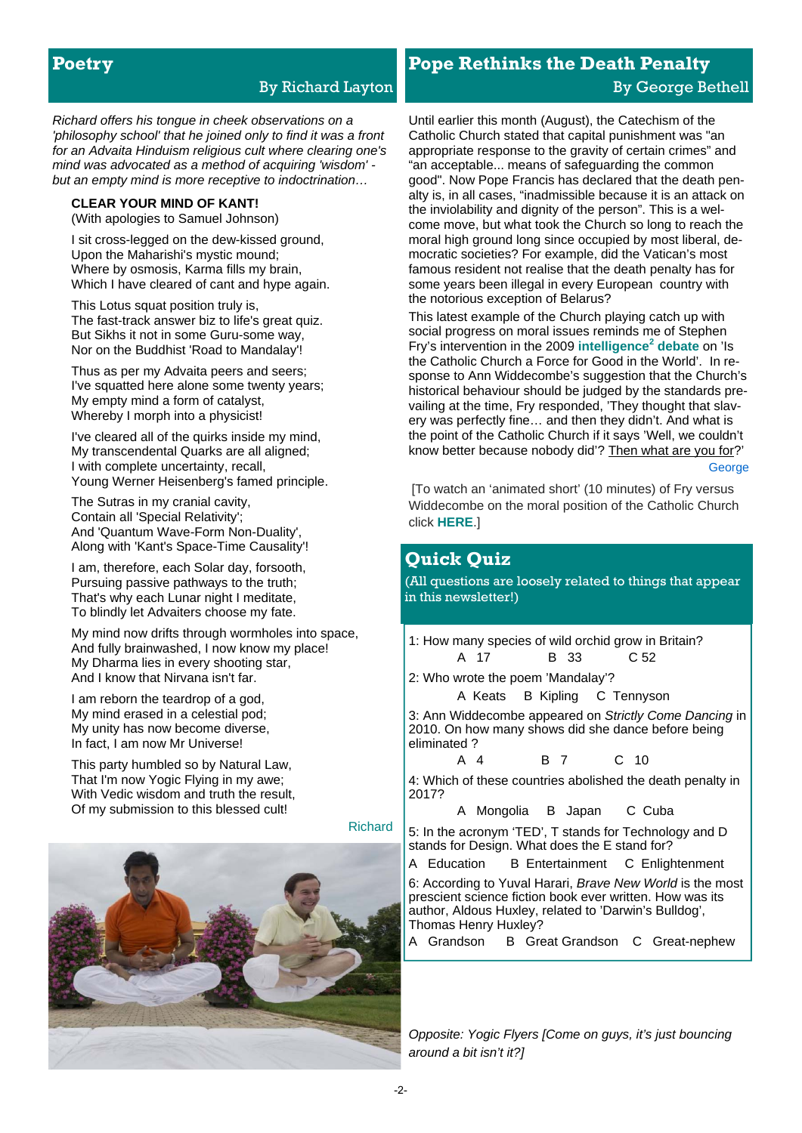#### **Poetry**

#### By Richard Layton

*Richard offers his tongue in cheek observations on a 'philosophy school' that he joined only to find it was a front for an Advaita Hinduism religious cult where clearing one's mind was advocated as a method of acquiring 'wisdom' but an empty mind is more receptive to indoctrination…*

#### **CLEAR YOUR MIND OF KANT!**

(With apologies to Samuel Johnson)

I sit cross-legged on the dew-kissed ground, Upon the Maharishi's mystic mound; Where by osmosis, Karma fills my brain, Which I have cleared of cant and hype again.

This Lotus squat position truly is, The fast-track answer biz to life's great quiz. But Sikhs it not in some Guru-some way, Nor on the Buddhist 'Road to Mandalay'!

Thus as per my Advaita peers and seers; I've squatted here alone some twenty years; My empty mind a form of catalyst, Whereby I morph into a physicist!

I've cleared all of the quirks inside my mind, My transcendental Quarks are all aligned; I with complete uncertainty, recall, Young Werner Heisenberg's famed principle.

The Sutras in my cranial cavity, Contain all 'Special Relativity'; And 'Quantum Wave-Form Non-Duality', Along with 'Kant's Space-Time Causality'!

I am, therefore, each Solar day, forsooth, Pursuing passive pathways to the truth; That's why each Lunar night I meditate, To blindly let Advaiters choose my fate.

My mind now drifts through wormholes into space, And fully brainwashed, I now know my place! My Dharma lies in every shooting star, And I know that Nirvana isn't far.

I am reborn the teardrop of a god, My mind erased in a celestial pod; My unity has now become diverse, In fact, I am now Mr Universe!

This party humbled so by Natural Law, That I'm now Yogic Flying in my awe; With Vedic wisdom and truth the result, Of my submission to this blessed cult!

Richard



## **Pope Rethinks the Death Penalty**  By George Bethell

Until earlier this month (August), the Catechism of the Catholic Church stated that capital punishment was "an appropriate response to the gravity of certain crimes" and "an acceptable... means of safeguarding the common good". Now Pope Francis has declared that the death penalty is, in all cases, "inadmissible because it is an attack on the inviolability and dignity of the person". This is a welcome move, but what took the Church so long to reach the moral high ground long since occupied by most liberal, democratic societies? For example, did the Vatican's most famous resident not realise that the death penalty has for some years been illegal in every European country with the notorious exception of Belarus?

This latest example of the Church playing catch up with social progress on moral issues reminds me of Stephen Fry's intervention in the 2009 **[intelligence](https://www.intelligencesquared.com/events/the-catholic-church-is-a-force-for-good-in-the-world/)<sup>2</sup> debate** on 'Is the Catholic Church a Force for Good in the World'. In response to Ann Widdecombe's suggestion that the Church's historical behaviour should be judged by the standards prevailing at the time, Fry responded, 'They thought that slavery was perfectly fine… and then they didn't. And what is the point of the Catholic Church if it says 'Well, we couldn't know better because nobody did'? Then what are you for?' **George** 

[To watch an 'animated short' (10 minutes) of Fry versus Widdecombe on the moral position of the Catholic Church click **[HERE](https://www.youtube.com/watch?v=9fN3zDtfivc&feature=youtu.be)**.]

#### **Quick Quiz**

(All questions are loosely related to things that appear in this newsletter!)

1: How many species of wild orchid grow in Britain? A 17 B 33 C 52

2: Who wrote the poem 'Mandalay'?

A Keats B Kipling C Tennyson

3: Ann Widdecombe appeared on *Strictly Come Dancing* in 2010. On how many shows did she dance before being eliminated ?

A 4 B 7 C 10

4: Which of these countries abolished the death penalty in 2017?

A Mongolia B Japan C Cuba

5: In the acronym 'TED', T stands for Technology and D stands for Design. What does the E stand for?

A Education B Entertainment C Enlightenment

6: According to Yuval Harari, *Brave New World* is the most prescient science fiction book ever written. How was its author, Aldous Huxley, related to 'Darwin's Bulldog', Thomas Henry Huxley?

A Grandson B Great Grandson C Great-nephew

*Opposite: Yogic Flyers [Come on guys, it's just bouncing around a bit isn't it?]*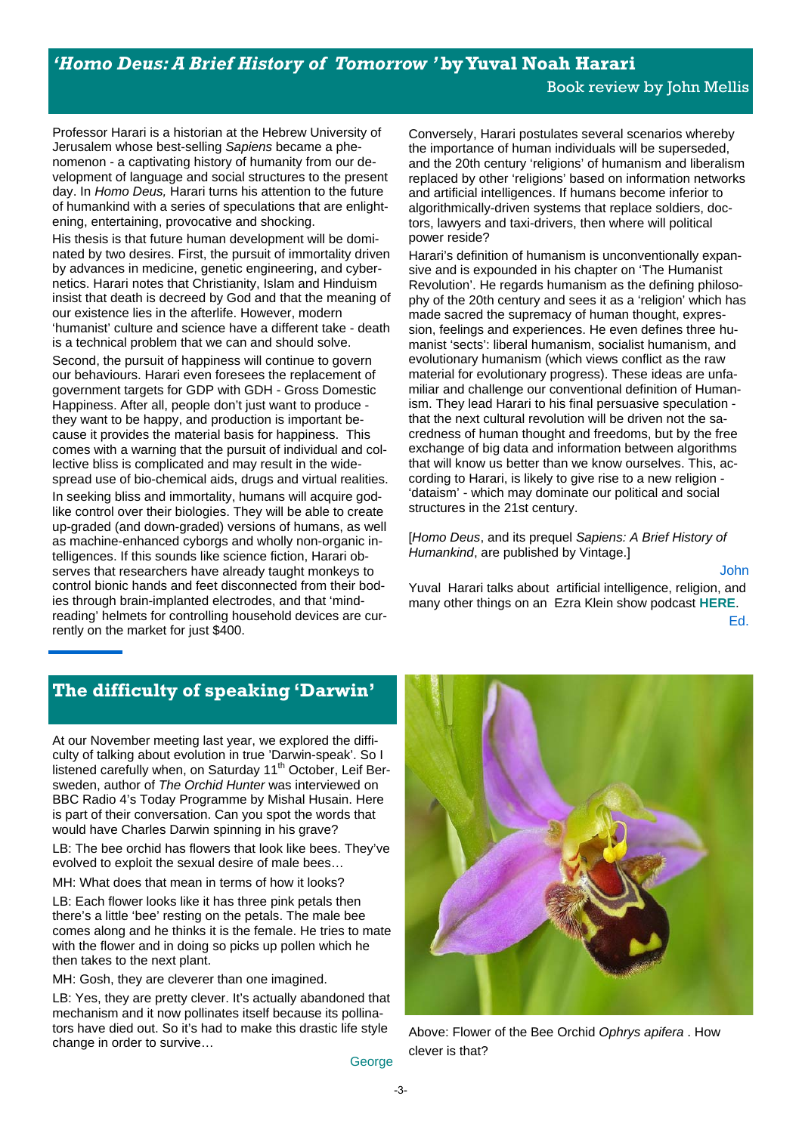*'Homo Deus: A Brief History of Tomorrow '* **by Yuval Noah Harari** 

Professor Harari is a historian at the Hebrew University of Jerusalem whose best-selling *Sapiens* became a phenomenon - a captivating history of humanity from our development of language and social structures to the present day. In *Homo Deus,* Harari turns his attention to the future of humankind with a series of speculations that are enlightening, entertaining, provocative and shocking.

His thesis is that future human development will be dominated by two desires. First, the pursuit of immortality driven by advances in medicine, genetic engineering, and cybernetics. Harari notes that Christianity, Islam and Hinduism insist that death is decreed by God and that the meaning of our existence lies in the afterlife. However, modern 'humanist' culture and science have a different take - death is a technical problem that we can and should solve.

Second, the pursuit of happiness will continue to govern our behaviours. Harari even foresees the replacement of government targets for GDP with GDH - Gross Domestic Happiness. After all, people don't just want to produce they want to be happy, and production is important because it provides the material basis for happiness. This comes with a warning that the pursuit of individual and collective bliss is complicated and may result in the widespread use of bio-chemical aids, drugs and virtual realities. In seeking bliss and immortality, humans will acquire godlike control over their biologies. They will be able to create up-graded (and down-graded) versions of humans, as well as machine-enhanced cyborgs and wholly non-organic intelligences. If this sounds like science fiction, Harari observes that researchers have already taught monkeys to control bionic hands and feet disconnected from their bodies through brain-implanted electrodes, and that 'mindreading' helmets for controlling household devices are currently on the market for just \$400.

Conversely, Harari postulates several scenarios whereby the importance of human individuals will be superseded, and the 20th century 'religions' of humanism and liberalism replaced by other 'religions' based on information networks and artificial intelligences. If humans become inferior to algorithmically-driven systems that replace soldiers, doctors, lawyers and taxi-drivers, then where will political power reside?

Harari's definition of humanism is unconventionally expansive and is expounded in his chapter on 'The Humanist Revolution'. He regards humanism as the defining philosophy of the 20th century and sees it as a 'religion' which has made sacred the supremacy of human thought, expression, feelings and experiences. He even defines three humanist 'sects': liberal humanism, socialist humanism, and evolutionary humanism (which views conflict as the raw material for evolutionary progress). These ideas are unfamiliar and challenge our conventional definition of Humanism. They lead Harari to his final persuasive speculation that the next cultural revolution will be driven not the sacredness of human thought and freedoms, but by the free exchange of big data and information between algorithms that will know us better than we know ourselves. This, according to Harari, is likely to give rise to a new religion - 'dataism' - which may dominate our political and social structures in the 21st century.

[*Homo Deus*, and its prequel *Sapiens: A Brief History of Humankind*, are published by Vintage.]

John

Yuval Harari talks about artificial intelligence, religion, and many other things on an Ezra Klein show podcast **[HERE](https://www.stitcher.com/podcast/the-ezra-klein-show/e/49284945)**.

Ed.

#### **The difficulty of speaking 'Darwin'**

At our November meeting last year, we explored the difficulty of talking about evolution in true 'Darwin-speak'. So I listened carefully when, on Saturday 11<sup>th</sup> October, Leif Bersweden, author of *The Orchid Hunter* was interviewed on BBC Radio 4's Today Programme by Mishal Husain. Here is part of their conversation. Can you spot the words that would have Charles Darwin spinning in his grave?

LB: The bee orchid has flowers that look like bees. They've evolved to exploit the sexual desire of male bees…

MH: What does that mean in terms of how it looks?

LB: Each flower looks like it has three pink petals then there's a little 'bee' resting on the petals. The male bee comes along and he thinks it is the female. He tries to mate with the flower and in doing so picks up pollen which he then takes to the next plant.

MH: Gosh, they are cleverer than one imagined.

LB: Yes, they are pretty clever. It's actually abandoned that mechanism and it now pollinates itself because its pollinators have died out. So it's had to make this drastic life style change in order to survive…



Above: Flower of the Bee Orchid *Ophrys apifera* . How clever is that?

**George**